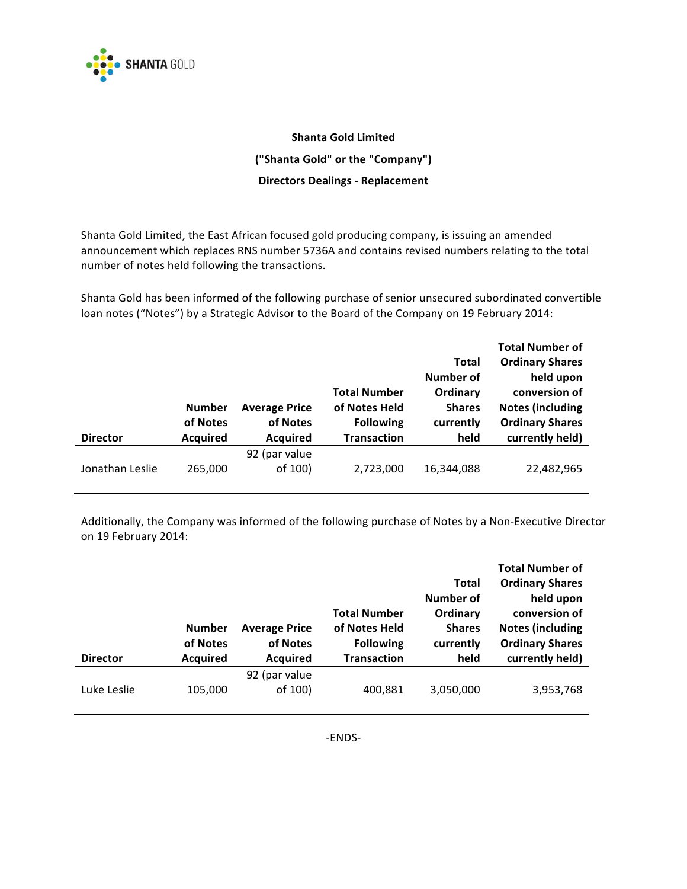

## **Shanta Gold Limited ("Shanta!Gold"!or!the!"Company") Directors!Dealings : Replacement**

Shanta Gold Limited, the East African focused gold producing company, is issuing an amended announcement which replaces RNS number 5736A and contains revised numbers relating to the total number of notes held following the transactions.

Shanta Gold has been informed of the following purchase of senior unsecured subordinated convertible loan notes ("Notes") by a Strategic Advisor to the Board of the Company on 19 February 2014:

|                 |                 |                      |                     |               | <b>Total Number of</b>  |
|-----------------|-----------------|----------------------|---------------------|---------------|-------------------------|
|                 |                 |                      |                     | <b>Total</b>  | <b>Ordinary Shares</b>  |
|                 |                 |                      |                     | Number of     | held upon               |
|                 |                 |                      | <b>Total Number</b> | Ordinary      | conversion of           |
|                 | <b>Number</b>   | <b>Average Price</b> | of Notes Held       | <b>Shares</b> | <b>Notes (including</b> |
|                 | of Notes        | of Notes             | <b>Following</b>    | currently     | <b>Ordinary Shares</b>  |
|                 |                 |                      |                     |               |                         |
| <b>Director</b> | <b>Acquired</b> | <b>Acquired</b>      | <b>Transaction</b>  | held          | currently held)         |
|                 |                 | 92 (par value        |                     |               |                         |

Additionally, the Company was informed of the following purchase of Notes by a Non-Executive Director on 19 February 2014:

|                 |                 |                      |                     |               | <b>Total Number of</b>  |
|-----------------|-----------------|----------------------|---------------------|---------------|-------------------------|
|                 |                 |                      |                     | Total         | <b>Ordinary Shares</b>  |
|                 |                 |                      |                     | Number of     | held upon               |
|                 |                 |                      | <b>Total Number</b> | Ordinary      | conversion of           |
|                 | <b>Number</b>   | <b>Average Price</b> | of Notes Held       | <b>Shares</b> | <b>Notes (including</b> |
|                 |                 |                      |                     |               |                         |
|                 | of Notes        | of Notes             | <b>Following</b>    | currently     | <b>Ordinary Shares</b>  |
| <b>Director</b> | <b>Acquired</b> | <b>Acquired</b>      | <b>Transaction</b>  | held          | currently held)         |
|                 |                 | 92 (par value        |                     |               |                         |